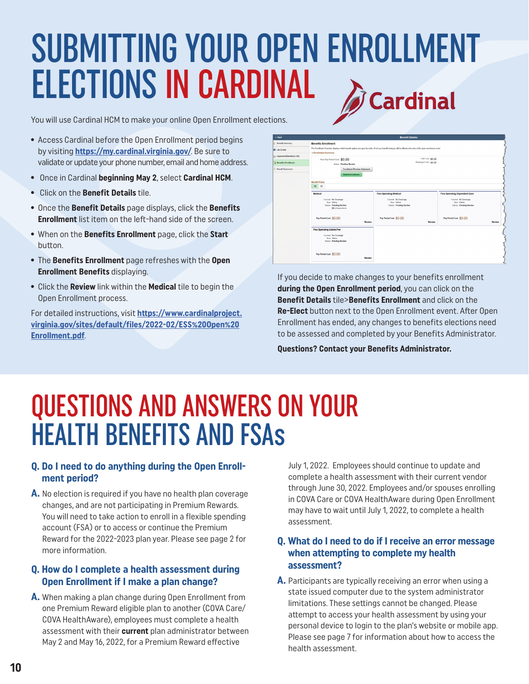## SUBMITTING YOUR OPEN ENROLLMENT ELECTIONS IN CARDINAL **Cardinal**

You will use Cardinal HCM to make your online Open Enrollment elections.

- **•** Access Cardinal before the Open Enrollment period begins by visiting **<https://my.cardinal.virginia.gov/>**. Be sure to validate or update your phone number, email and home address.
- **•** Once in Cardinal **beginning May 2**, select **Cardinal HCM**.
- **•** Click on the **Benefit Details** tile.
- **•** Once the **Benefit Details** page displays, click the **Benefits Enrollment** list item on the left-hand side of the screen.
- **•** When on the **Benefits Enrollment** page, click the **Start** button.
- **•** The **Benefits Enrollment** page refreshes with the **Open Enrollment Benefits** displaying.
- **•** Click the **Review** link within the **Medical** tile to begin the Open Enrollment process.

For detailed instructions, visit **[https://www.cardinalproject.](https://www.cardinalproject.virginia.gov/sites/default/files/2022-02/ESS%20Open%20Enrollment.pdf) [virginia.gov/sites/default/files/2022-02/ESS%20Open%20](https://www.cardinalproject.virginia.gov/sites/default/files/2022-02/ESS%20Open%20Enrollment.pdf) [Enrollment.pdf](https://www.cardinalproject.virginia.gov/sites/default/files/2022-02/ESS%20Open%20Enrollment.pdf)**.



If you decide to make changes to your benefits enrollment **during the Open Enrollment period**, you can click on the **Benefit Details** tile>**Benefits Enrollment** and click on the **Re-Elect** button next to the Open Enrollment event. After Open Enrollment has ended, any changes to benefits elections need to be assessed and completed by your Benefits Administrator.

**Questions? Contact your Benefits Administrator.**

# QUESTIONS AND ANSWERS ON YOUR HEALTH BENEFITS AND FSAs

#### **Q. Do I need to do anything during the Open Enrollment period?**

**A.** No election is required if you have no health plan coverage changes, and are not participating in Premium Rewards. You will need to take action to enroll in a flexible spending account (FSA) or to access or continue the Premium Reward for the 2022-2023 plan year. Please see page 2 for more information.

#### **Q. How do I complete a health assessment during Open Enrollment if I make a plan change?**

**A.** When making a plan change during Open Enrollment from one Premium Reward eligible plan to another (COVA Care/ COVA HealthAware), employees must complete a health assessment with their **current** plan administrator between May 2 and May 16, 2022, for a Premium Reward effective

July 1, 2022. Employees should continue to update and complete a health assessment with their current vendor through June 30, 2022. Employees and/or spouses enrolling in COVA Care or COVA HealthAware during Open Enrollment may have to wait until July 1, 2022, to complete a health assessment.

#### **Q. What do I need to do if I receive an error message when attempting to complete my health assessment?**

**A.** Participants are typically receiving an error when using a state issued computer due to the system administrator limitations. These settings cannot be changed. Please attempt to access your health assessment by using your personal device to login to the plan's website or mobile app. Please see page 7 for information about how to access the health assessment.